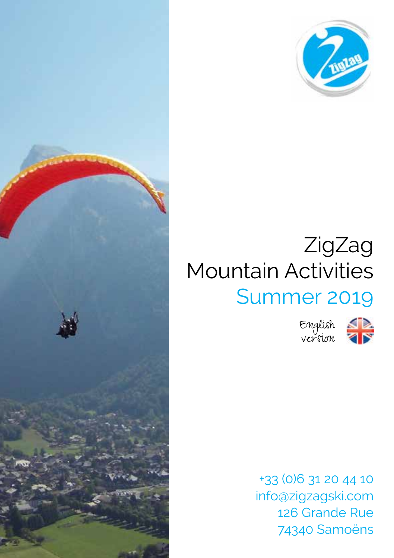



## ZigZag Mountain Activities Summer 2019

English version



+33 (0)6 31 20 44 10 info@zigzagski.com 126 Grande Rue 74340 Samoëns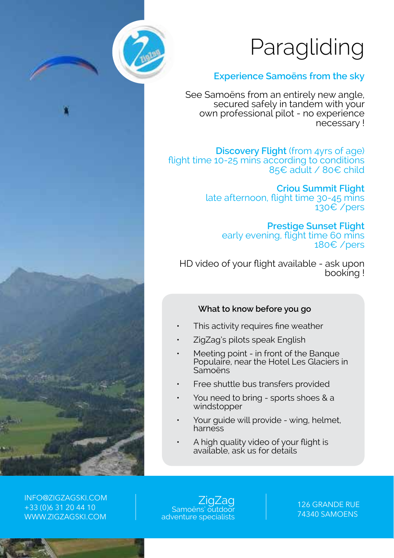# Paragliding



## **Experience Samoëns from the sky**

See Samoëns from an entirely new angle, secured safely in tandem with your own professional pilot - no experience necessary !

**Discovery Flight** (from 4yrs of age) flight time 10-25 mins according to conditions 85€ adult / 80€ child

> **Criou Summit Flight**  late afternoon, flight time 30-45 mins 130€ /pers

> > **Prestige Sunset Flight** early evening, flight time 60 mins 180€ /pers

HD video of your flight available - ask upon booking !

#### **What to know before you go**

- This activity requires fine weather
- ZigZag's pilots speak English
- Meeting point in front of the Banque Populaire, near the Hotel Les Glaciers in Samoëns
- Free shuttle bus transfers provided
- You need to bring sports shoes & a windstopper
- Your quide will provide wing, helmet, harness
- A high quality video of your flight is available, ask us for details

INFO@ZIGZAGSKI.COM +33 (0)6 31 20 44 10 WWW.ZIGZAGSKI.COM

ZigZag<br>Samoëns' outdooi adventure specialists

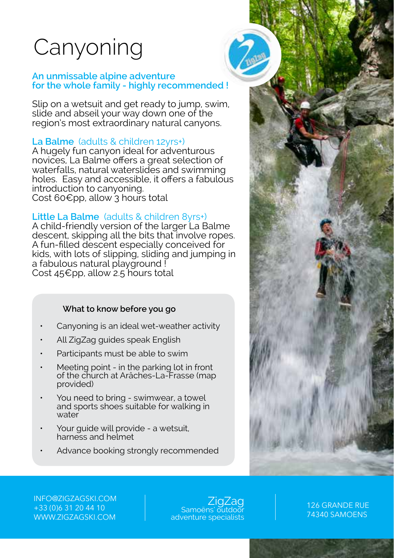## Canyoning

#### **An unmissable alpine adventure for the whole family - highly recommended !**

Slip on a wetsuit and get ready to jump, swim, slide and abseil your way down one of the region's most extraordinary natural canyons.

## **La Balme** (adults & children 12yrs+)

A hugely fun canyon ideal for adventurous novices, La Balme offers a great selection of waterfalls, natural waterslides and swimming holes. Easy and accessible, it offers a fabulous introduction to canyoning. Cost 60€pp, allow<sup>3</sup> hours total

## **Little La Balme** (adults & children 8yrs+)

A child-friendly version of the larger La Balme descent, skipping all the bits that involve ropes. A fun-filled descent especially conceived for kids, with lots of slipping, sliding and jumping in a fabulous natural playground ! Cost 45€pp, allow 2.5 hours total

## **What to know before you go**

- Canyoning is an ideal wet-weather activity
- All ZigZag guides speak English
- Participants must be able to swim
- Meeting point in the parking lot in front of the church at Arâches-La-Frasse (map provided)
- You need to bring swimwear, a towel and sports shoes suitable for walking in water<sup>'</sup>
- Your guide will provide a wetsuit, harness and helmet
- Advance booking strongly recommended



INFO@ZIGZAGSKI.COM +33 (0)6 31 20 44 10 WWW.ZIGZAGSKI.COM

ZigZag<br>Samoëns' outdoor adventure specialists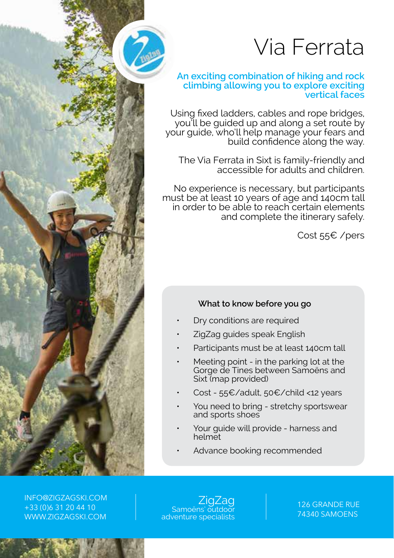

## Via Ferrata

#### **An exciting combination of hiking and rock climbing allowing you to explore exciting vertical faces**

Using fixed ladders, cables and rope bridges, you'll be guided up and along a set route by your guide, who'll help manage your fears and build confidence along the way.

The Via Ferrata in Sixt is family-friendly and accessible for adults and children.

No experience is necessary, but participants must be at least 10 years of age and 140cm tall in order to be able to reach certain elements and complete the itinerary safely.

Cost 55€ /pers

## **What to know before you go**

- Dry conditions are required
- ZigZag guides speak English
- Participants must be at least 140cm tall
- Meeting point in the parking lot at the Gorge de Tines between Samoëns and Sixt (map provided)
- Cost 55€/adult, 50€/child <12 years
- You need to bring stretchy sportswear and sports shoes
- Your guide will provide harness and helmet
- Advance booking recommended

INFO@ZIGZAGSKI.COM +33 (0)6 31 20 44 10 WWW.ZIGZAGSKI.COM

ZigZag<br>Samoëns' outdoor adventure specialists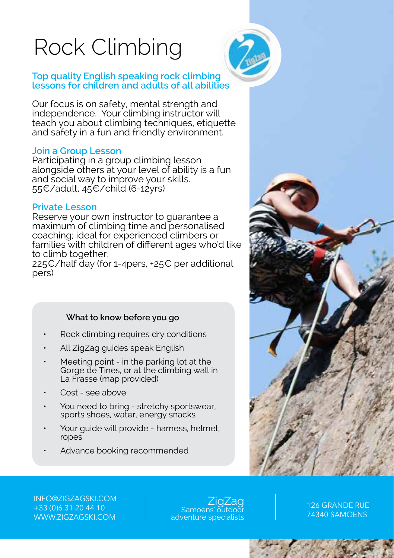# Rock Climbing



#### **Top quality English speaking rock climbing lessons for children and adults of all abilities**

Our focus is on safety, mental strength and independence. Your climbing instructor will teach you about climbing techniques, etiquette and safety in a fun and friendly environment.

#### **Join a Group Lesson**

Participating in a group climbing lesson alongside others at your level of ability is a fun and social way to improve your skills. 55€/adult, 45€/child (6-12yrs)

#### **Private Lesson**

Reserve your own instructor to guarantee a maximum of climbing time and personalised coaching; ideal for experienced climbers or families with children of different ages who'd like to climb together.

225€/half day (for 1-4pers, +25€ per additional pers)

## **What to know before you go**

- Rock climbing requires dry conditions
- All ZigZag guides speak English
- Meeting point in the parking lot at the Gorge de Tines, or at the climbing wall in La Frasse (map provided)
- Cost see above
- You need to bring stretchy sportswear, sports shoes, water, energy snacks
- Your guide will provide harness, helmet, ropes
- Advance booking recommended



INFO@ZIGZAGSKI.COM +33 (0)6 31 20 44 10 WWW.ZIGZAGSKI.COM

ZigZag<br>Samo<u>ëns' outd</u>oor adventure specialists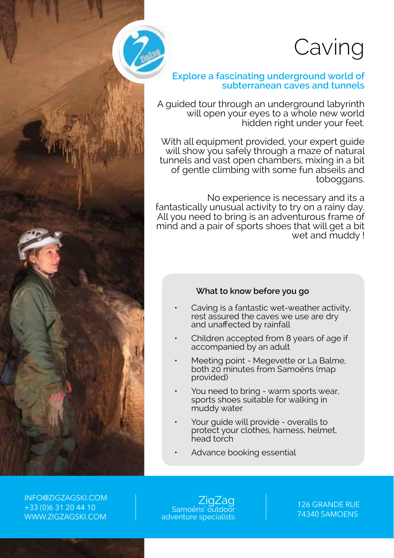## Caving

## **Explore a fascinating underground world of subterranean caves and tunnels**

A guided tour through an underground labyrinth will open your eyes to a whole new world hidden right under your feet.

With all equipment provided, your expert guide will show you safely through a maze of natural tunnels and vast open chambers, mixing in a bit of gentle climbing with some fun abseils and toboggans.

No experience is necessary and its a fantastically unusual activity to try on a rainy day. All you need to bring is an adventurous frame of mind and a pair of sports shoes that will get a bit wet and muddy !

#### **What to know before you go**

- Caving is a fantastic wet-weather activity. rest assured the caves we use are dry and unaffected by rainfall
- Children accepted from 8 years of age if accompanied by an adult
- Meeting point Megevette or La Balme. both 20 minutes from Samoëns (map provided)
- You need to bring warm sports wear, sports shoes suitable for walking in muddy water
- Your guide will provide overalls to protect your clothes, harness, helmet, head torch
- Advance booking essential

INFO@ZIGZAGSKI.COM +33 (0)6 31 20 44 10 WWW.ZIGZAGSKI.COM

ZigZag<br>Samoëns' outdoor adventure specialists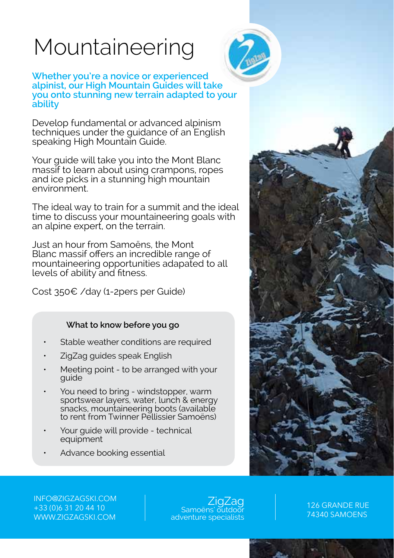# Mountaineering



**Whether you're a novice or experienced alpinist, our High Mountain Guides will take you onto stunning new terrain adapted to your ability** 

Develop fundamental or advanced alpinism techniques under the guidance of an English speaking High Mountain Guide.

Your guide will take you into the Mont Blanc massif to learn about using crampons, ropes and ice picks in a stunning high mountain environment.

The ideal way to train for a summit and the ideal time to discuss your mountaineering goals with an alpine expert, on the terrain.

Just an hour from Samoëns, the Mont Blanc massif offers an incredible range of mountaineering opportunities adapated to all levels of ability and fitness.

Cost 350€ /day (1-2pers per Guide)

## **What to know before you go**

- Stable weather conditions are required
- ZigZag guides speak English
- Meeting point to be arranged with your guide
- You need to bring windstopper, warm sportswear layers, water, lunch & energy snacks, mountaineering boots (available to rent from Twinner Pellissier Samoëns)
- Your guide will provide technical equipment
- Advance booking essential



INFO@ZIGZAGSKI.COM +33 (0)6 31 20 44 10 WWW.ZIGZAGSKI.COM

ZigZag<br><u>Samoëns' outd</u>oor adventure specialists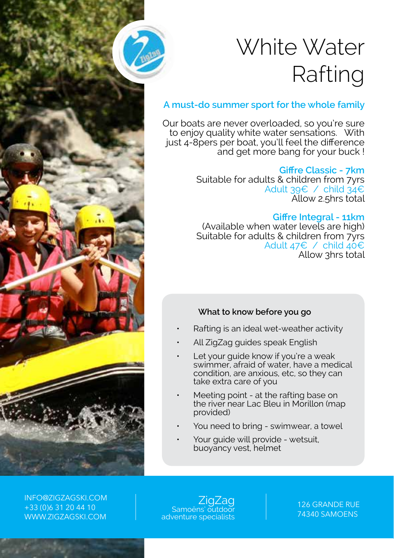

# White Water Rafting

## **A must-do summer sport for the whole family**

Our boats are never overloaded, so you're sure to enjoy quality white water sensations. With just 4-8pers per boat, you'll feel the difference and get more bang for your buck !

## **Giffre Classic - 7km**

Suitable for adults & children from 7yrs Adult 39€ / child 34€ Allow 2.5hrs total

## **Giffre Integral - 11km**

(Available when water levels are high) Suitable for adults & children from 7yrs Adult 47€ / child 40€ Allow 3hrs total

## **What to know before you go**

- Rafting is an ideal wet-weather activity
- All ZigZag guides speak English
- Let your quide know if you're a weak swimmer, afraid of water, have a medical condition, are anxious, etc, so they can take extra care of you
- Meeting point at the rafting base on the river near Lac Bleu in Morillon (map provided)
- You need to bring swimwear, a towel
- Your quide will provide wetsuit, buoyancy vest, helmet

INFO@ZIGZAGSKI.COM +33 (0)6 31 20 44 10 WWW.ZIGZAGSKI.COM

ZigZag<br>Samoëns' outdoor adventure specialists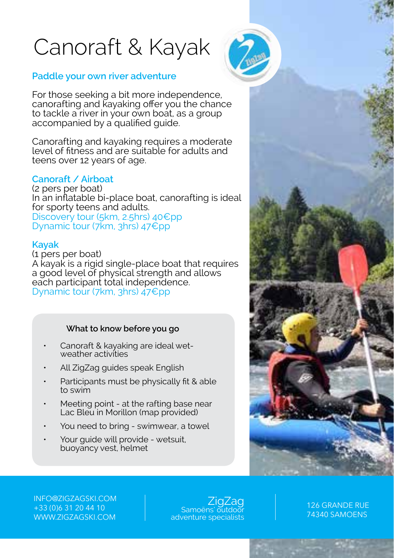# Canoraft & Kayak



## **Paddle your own river adventure**

For those seeking a bit more independence, canorafting and kayaking offer you the chance to tackle a river in your own boat, as a group accompanied by a qualified guide.

Canorafting and kayaking requires a moderate level of fitness and are suitable for adults and teens over 12 years of age.

#### **Canoraft / Airboat**

(2 pers per boat) In an inflatable bi-place boat, canorafting is ideal for sporty teens and adults. Discovery tour (5km, 2.5hrs) 40€pp Dynamic tour (7km, 3hrs) 47€pp

#### **Kayak**

(1 pers per boat) A kayak is a rigid single-place boat that requires a good level of physical strength and allows each participant total independence. Dynamic tour (7km, 3hrs) 47€pp

#### **What to know before you go**

- Canoraft & kayaking are ideal wetweather activities
- All ZigZag guides speak English
- Participants must be physically fit & able to swim
- Meeting point at the rafting base near Lac Bleu in Morillon (map provided)
- You need to bring swimwear, a towel
- Your quide will provide wetsuit, buoyancy vest, helmet

126 GRANDE RUE 74340 SAMOENS

INFO@ZIGZAGSKI.COM +33 (0)6 31 20 44 10 WWW.ZIGZAGSKI.COM

ZigZag<br><u>Samoëns' outd</u>oor adventure specialists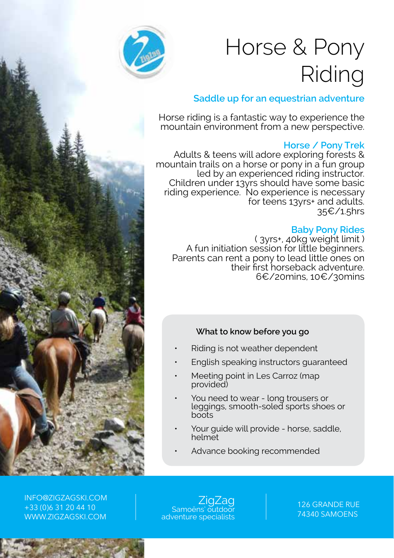

# Horse & Pony Riding

## **Saddle up for an equestrian adventure**

Horse riding is a fantastic way to experience the mountain environment from a new perspective.

## **Horse / Pony Trek**

Adults & teens will adore exploring forests & mountain trails on a horse or pony in a fun group led by an experienced riding instructor. Children under 13yrs should have some basic riding experience. No experience is necessary for teens 13yrs+ and adults. 35€/1.5hrs

## **Baby Pony Rides**

( 3yrs+, 40kg weight limit ) A fun initiation session for little beginners. Parents can rent a pony to lead little ones on their first horseback adventure. 6€/20mins, 10€/30mins

## **What to know before you go**

- Riding is not weather dependent
- English speaking instructors guaranteed
- Meeting point in Les Carroz (map provided)
- You need to wear long trousers or leggings, smooth-soled sports shoes or boots
- Your guide will provide horse, saddle, helmet
- Advance booking recommended

INFO@ZIGZAGSKI.COM +33 (0)6 31 20 44 10 WWW.ZIGZAGSKI.COM

ZigZag<br>Samoëns' outdooi adventure specialists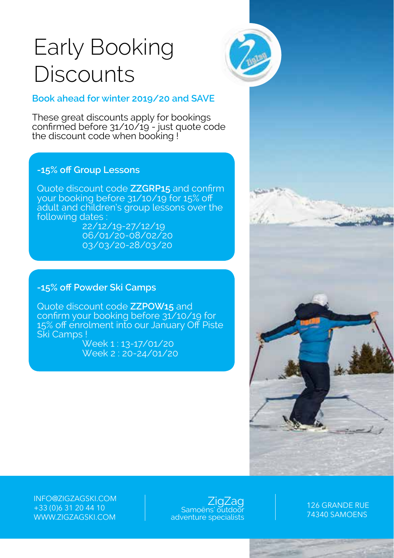## Early Booking **Discounts**



## **Book ahead for winter 2019/20 and SAVE**

These great discounts apply for bookings confirmed before 31/10/19 - just quote code the discount code when booking !

## **-15% off Group Lessons**

Quote discount code **ZZGRP15** and confirm your booking before 31/10/19 for 15% off adult and children's group lessons over the following dates 22/12/19-27/12/19

06/01/20-08/02/20 03/03/20-28/03/20

## **-15% off Powder Ski Camps**

Quote discount code **ZZPOW15** and confirm your booking before 31/10/19 for 15% off enrolment into our January Off Piste Ski Camps !

Week 1 : 13-17/01/20 Week 2 : 20-24/01/20



INFO@ZIGZAGSKI.COM +33 (0)6 31 20 44 10 WWW.ZIGZAGSKI.COM

ZigZag<br>Samoëns' outdoor adventure specialists